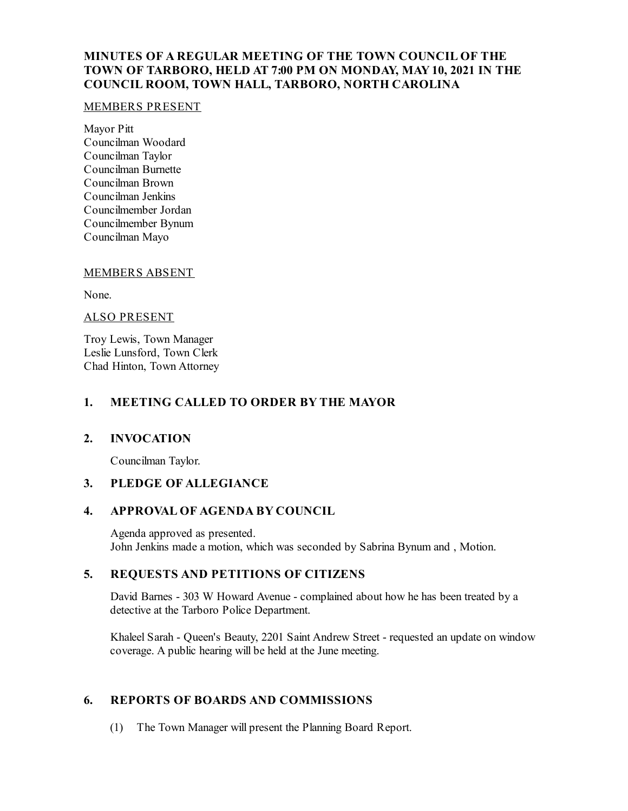# **MINUTES OF A REGULAR MEETING OF THE TOWN COUNCIL OF THE TOWN OF TARBORO, HELD AT 7:00 PM ON MONDAY, MAY10, 2021 IN THE COUNCIL ROOM, TOWN HALL, TARBORO, NORTH CAROLINA**

#### MEMBERS PRESENT

Mayor Pitt Councilman Woodard Councilman Taylor Councilman Burnette Councilman Brown Councilman Jenkins Councilmember Jordan Councilmember Bynum Councilman Mayo

#### MEMBERS ABSENT

None.

#### ALSO PRESENT

Troy Lewis, Town Manager Leslie Lunsford, Town Clerk Chad Hinton, Town Attorney

#### **1. MEETING CALLED TO ORDER BY THE MAYOR**

## **2. INVOCATION**

Councilman Taylor.

## **3. PLEDGE OF ALLEGIANCE**

#### **4. APPROVAL OF AGENDA BY COUNCIL**

Agenda approved as presented. John Jenkins made a motion, which was seconded by Sabrina Bynum and , Motion.

## **5. REQUESTS AND PETITIONS OF CITIZENS**

David Barnes - 303 W Howard Avenue - complained about how he has been treated by a detective at the Tarboro Police Department.

Khaleel Sarah - Queen's Beauty, 2201 Saint Andrew Street - requested an update on window coverage. A public hearing will be held at the June meeting.

## **6. REPORTS OF BOARDS AND COMMISSIONS**

(1) The Town Manager will present the Planning Board Report.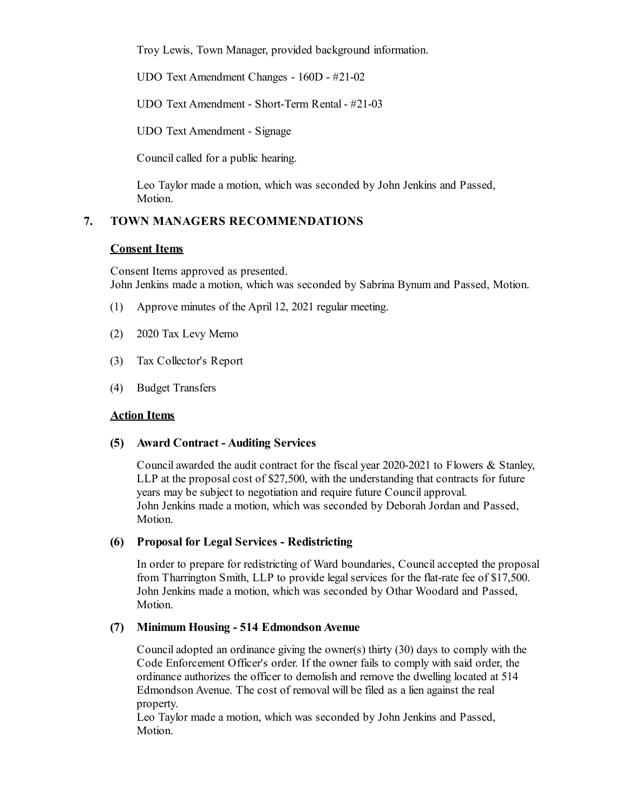Troy Lewis, Town Manager, provided background information.

UDO Text Amendment Changes - 160D - #21-02

UDO Text Amendment - Short-Term Rental - #21-03

UDO Text Amendment - Signage

Council called for a public hearing.

Leo Taylor made a motion, which was seconded by John Jenkins and Passed, Motion.

# **7. TOWN MANAGERS RECOMMENDATIONS**

#### **Consent Items**

Consent Items approved as presented. John Jenkins made a motion, which was seconded by Sabrina Bynum and Passed, Motion.

- (1) Approve minutes of the April 12, 2021 regular meeting.
- (2) 2020 Tax Levy Memo
- (3) Tax Collector's Report
- (4) Budget Transfers

## **Action Items**

## **(5) Award Contract - Auditing Services**

Councilawarded the audit contract for the fiscal year 2020-2021 to Flowers & Stanley, LLP at the proposal cost of \$27,500, with the understanding that contracts for future years may be subject to negotiation and require future Councilapproval. John Jenkins made a motion, which was seconded by Deborah Jordan and Passed, Motion.

#### **(6) Proposal for Legal Services - Redistricting**

In order to prepare for redistricting of Ward boundaries, Councilaccepted the proposal from Tharrington Smith, LLP to provide legal services for the flat-rate fee of \$17,500. John Jenkins made a motion, which was seconded by Othar Woodard and Passed, Motion.

#### **(7) Minimum Housing - 514 EdmondsonAvenue**

Counciladopted an ordinance giving the owner(s) thirty (30) days to comply with the Code Enforcement Officer's order. If the owner fails to comply with said order, the ordinance authorizes the officer to demolish and remove the dwelling located at 514 Edmondson Avenue. The cost of removal will be filed as a lien against the real property.

Leo Taylor made a motion, which was seconded by John Jenkins and Passed, Motion.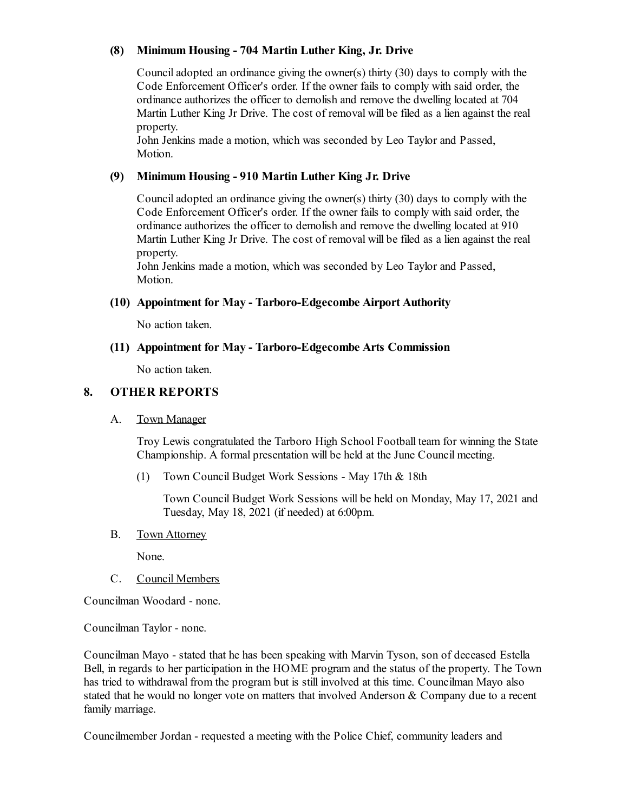## **(8) Minimum Housing - 704 Martin Luther King, Jr. Drive**

Counciladopted an ordinance giving the owner(s) thirty (30) days to comply with the Code Enforcement Officer's order. If the owner fails to comply with said order, the ordinance authorizes the officer to demolish and remove the dwelling located at 704 Martin Luther King Jr Drive. The cost of removal will be filed as a lien against the real property.

John Jenkins made a motion, which was seconded by Leo Taylor and Passed, Motion.

## **(9) Minimum Housing - 910 Martin Luther King Jr. Drive**

Counciladopted an ordinance giving the owner(s) thirty (30) days to comply with the Code Enforcement Officer's order. If the owner fails to comply with said order, the ordinance authorizes the officer to demolish and remove the dwelling located at 910 Martin Luther King Jr Drive. The cost of removal will be filed as a lien against the real property.

John Jenkins made a motion, which was seconded by Leo Taylor and Passed, Motion.

## **(10) Appointment for May - Tarboro-Edgecombe Airport Authority**

No action taken.

# **(11) Appointment for May - Tarboro-Edgecombe Arts Commission**

No action taken.

# **8. OTHER REPORTS**

## A. Town Manager

Troy Lewis congratulated the Tarboro High School Football team for winning the State Championship. A formal presentation will be held at the June Council meeting.

(1) Town Council Budget Work Sessions - May 17th & 18th

Town Council Budget Work Sessions will be held on Monday, May 17, 2021 and Tuesday, May 18, 2021 (if needed) at 6:00pm.

B. Town Attorney

None.

C. Council Members

Councilman Woodard - none.

Councilman Taylor - none.

Councilman Mayo - stated that he has been speaking with Marvin Tyson, son of deceased Estella Bell, in regards to her participation in the HOME program and the status of the property. The Town has tried to withdrawal from the program but is still involved at this time. Councilman Mayo also stated that he would no longer vote on matters that involved Anderson & Company due to a recent family marriage.

Councilmember Jordan - requested a meeting with the Police Chief, community leaders and